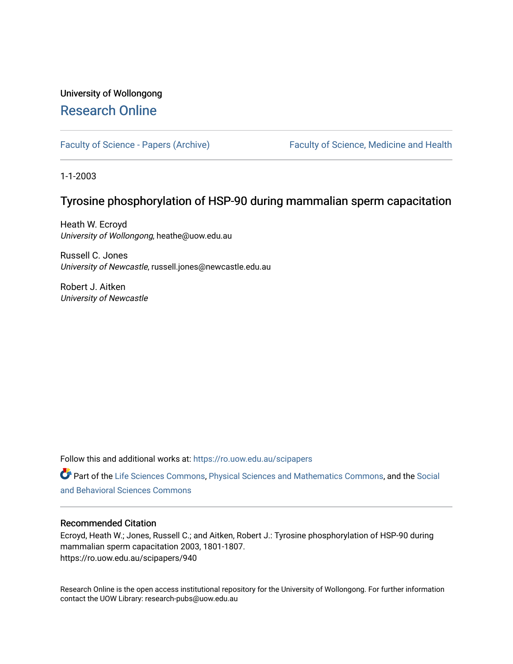# University of Wollongong [Research Online](https://ro.uow.edu.au/)

[Faculty of Science - Papers \(Archive\)](https://ro.uow.edu.au/scipapers) Faculty of Science, Medicine and Health

1-1-2003

# Tyrosine phosphorylation of HSP-90 during mammalian sperm capacitation

Heath W. Ecroyd University of Wollongong, heathe@uow.edu.au

Russell C. Jones University of Newcastle, russell.jones@newcastle.edu.au

Robert J. Aitken University of Newcastle

Follow this and additional works at: [https://ro.uow.edu.au/scipapers](https://ro.uow.edu.au/scipapers?utm_source=ro.uow.edu.au%2Fscipapers%2F940&utm_medium=PDF&utm_campaign=PDFCoverPages)

Part of the [Life Sciences Commons,](http://network.bepress.com/hgg/discipline/1016?utm_source=ro.uow.edu.au%2Fscipapers%2F940&utm_medium=PDF&utm_campaign=PDFCoverPages) [Physical Sciences and Mathematics Commons,](http://network.bepress.com/hgg/discipline/114?utm_source=ro.uow.edu.au%2Fscipapers%2F940&utm_medium=PDF&utm_campaign=PDFCoverPages) and the [Social](http://network.bepress.com/hgg/discipline/316?utm_source=ro.uow.edu.au%2Fscipapers%2F940&utm_medium=PDF&utm_campaign=PDFCoverPages)  [and Behavioral Sciences Commons](http://network.bepress.com/hgg/discipline/316?utm_source=ro.uow.edu.au%2Fscipapers%2F940&utm_medium=PDF&utm_campaign=PDFCoverPages) 

# Recommended Citation

Ecroyd, Heath W.; Jones, Russell C.; and Aitken, Robert J.: Tyrosine phosphorylation of HSP-90 during mammalian sperm capacitation 2003, 1801-1807. https://ro.uow.edu.au/scipapers/940

Research Online is the open access institutional repository for the University of Wollongong. For further information contact the UOW Library: research-pubs@uow.edu.au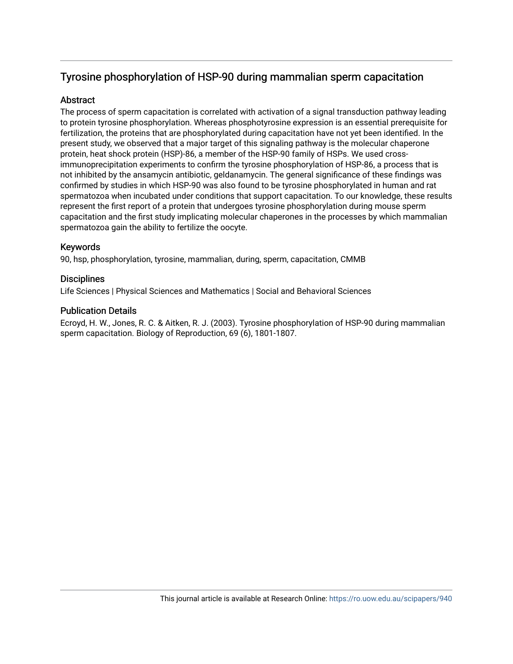# Tyrosine phosphorylation of HSP-90 during mammalian sperm capacitation

# **Abstract**

The process of sperm capacitation is correlated with activation of a signal transduction pathway leading to protein tyrosine phosphorylation. Whereas phosphotyrosine expression is an essential prerequisite for fertilization, the proteins that are phosphorylated during capacitation have not yet been identified. In the present study, we observed that a major target of this signaling pathway is the molecular chaperone protein, heat shock protein (HSP)-86, a member of the HSP-90 family of HSPs. We used crossimmunoprecipitation experiments to confirm the tyrosine phosphorylation of HSP-86, a process that is not inhibited by the ansamycin antibiotic, geldanamycin. The general significance of these findings was confirmed by studies in which HSP-90 was also found to be tyrosine phosphorylated in human and rat spermatozoa when incubated under conditions that support capacitation. To our knowledge, these results represent the first report of a protein that undergoes tyrosine phosphorylation during mouse sperm capacitation and the first study implicating molecular chaperones in the processes by which mammalian spermatozoa gain the ability to fertilize the oocyte.

# Keywords

90, hsp, phosphorylation, tyrosine, mammalian, during, sperm, capacitation, CMMB

# **Disciplines**

Life Sciences | Physical Sciences and Mathematics | Social and Behavioral Sciences

# Publication Details

Ecroyd, H. W., Jones, R. C. & Aitken, R. J. (2003). Tyrosine phosphorylation of HSP-90 during mammalian sperm capacitation. Biology of Reproduction, 69 (6), 1801-1807.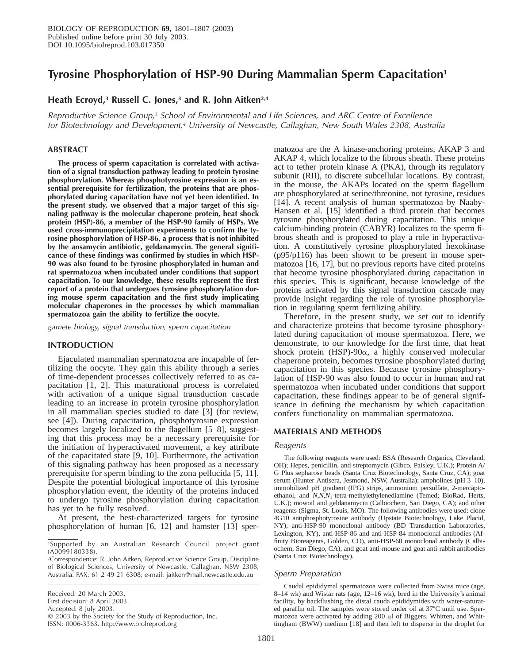# **Tyrosine Phosphorylation of HSP-90 During Mammalian Sperm Capacitation1**

# **Heath Ecroyd,3 Russell C. Jones,3 and R. John Aitken2,4**

Reproductive Science Group,<sup>3</sup> School of Environmental and Life Sciences, and ARC Centre of Excellence for Biotechnology and Development,<sup>4</sup> University of Newcastle, Callaghan, New South Wales 2308, Australia

## **ABSTRACT**

**The process of sperm capacitation is correlated with activation of a signal transduction pathway leading to protein tyrosine phosphorylation. Whereas phosphotyrosine expression is an essential prerequisite for fertilization, the proteins that are phosphorylated during capacitation have not yet been identified. In the present study, we observed that a major target of this signaling pathway is the molecular chaperone protein, heat shock protein (HSP)-86, a member of the HSP-90 family of HSPs. We used cross-immunoprecipitation experiments to confirm the tyrosine phosphorylation of HSP-86, a process that is not inhibited by the ansamycin antibiotic, geldanamycin. The general significance of these findings was confirmed by studies in which HSP-90 was also found to be tyrosine phosphorylated in human and rat spermatozoa when incubated under conditions that support capacitation. To our knowledge, these results represent the first report of a protein that undergoes tyrosine phosphorylation during mouse sperm capacitation and the first study implicating molecular chaperones in the processes by which mammalian spermatozoa gain the ability to fertilize the oocyte.**

gamete biology, signal transduction, sperm capacitation

### **INTRODUCTION**

Ejaculated mammalian spermatozoa are incapable of fertilizing the oocyte. They gain this ability through a series of time-dependent processes collectively referred to as capacitation [1, 2]. This maturational process is correlated with activation of a unique signal transduction cascade leading to an increase in protein tyrosine phosphorylation in all mammalian species studied to date [3] (for review, see [4]). During capacitation, phosphotyrosine expression becomes largely localized to the flagellum [5–8], suggesting that this process may be a necessary prerequisite for the initiation of hyperactivated movement, a key attribute of the capacitated state [9, 10]. Furthermore, the activation of this signaling pathway has been proposed as a necessary prerequisite for sperm binding to the zona pellucida [5, 11]. Despite the potential biological importance of this tyrosine phosphorylation event, the identity of the proteins induced to undergo tyrosine phosphorylation during capacitation has yet to be fully resolved.

At present, the best-characterized targets for tyrosine phosphorylation of human [6, 12] and hamster [13] sper-

First decision: 8 April 2003.

Accepted: 8 July 2003.

Q 2003 by the Society for the Study of Reproduction, Inc.

ISSN: 0006-3363. http://www.biolreprod.org

matozoa are the A kinase-anchoring proteins, AKAP 3 and AKAP 4, which localize to the fibrous sheath. These proteins act to tether protein kinase A (PKA), through its regulatory subunit (RII), to discrete subcellular locations. By contrast, in the mouse, the AKAPs located on the sperm flagellum are phosphorylated at serine/threonine, not tyrosine, residues [14]. A recent analysis of human spermatozoa by Naaby-Hansen et al. [15] identified a third protein that becomes tyrosine phosphorylated during capacitation. This unique calcium-binding protein (CABYR) localizes to the sperm fibrous sheath and is proposed to play a role in hyperactivation. A constitutively tyrosine phosphorylated hexokinase (p95/p116) has been shown to be present in mouse spermatozoa [16, 17], but no previous reports have cited proteins that become tyrosine phosphorylated during capacitation in this species. This is significant, because knowledge of the proteins activated by this signal transduction cascade may provide insight regarding the role of tyrosine phosphorylation in regulating sperm fertilizing ability.

Therefore, in the present study, we set out to identify and characterize proteins that become tyrosine phosphorylated during capacitation of mouse spermatozoa. Here, we demonstrate, to our knowledge for the first time, that heat shock protein  $(HSP)-90\alpha$ , a highly conserved molecular chaperone protein, becomes tyrosine phosphorylated during capacitation in this species. Because tyrosine phosphorylation of HSP-90 was also found to occur in human and rat spermatozoa when incubated under conditions that support capacitation, these findings appear to be of general significance in defining the mechanism by which capacitation confers functionality on mammalian spermatozoa.

### **MATERIALS AND METHODS**

#### Reagents

The following reagents were used: BSA (Research Organics, Cleveland, OH); Hepes, penicillin, and streptomycin (Gibco, Paisley, U.K.); Protein A/ G Plus sepharose beads (Santa Cruz Biotechnology, Santa Cruz, CA); goat serum (Hunter Antisera, Jesmond, NSW, Australia); ampholines (pH 3–10), immobilized pH gradient (IPG) strips, ammonium persulfate, 2-mercaptoethanol, and *N,N,N*1-tetra-methylethylenediamine (Temed; BioRad, Herts, U.K.); mowoil and geldanamycin (Calbiochem, San Diego, CA); and other reagents (Sigma, St. Louis, MO). The following antibodies were used: clone 4G10 antiphosphotyrosine antibody (Upstate Biotechnology, Lake Placid, NY), anti-HSP-90 monoclonal antibody (BD Transduction Laboratories, Lexington, KY), anti-HSP-86 and anti-HSP-84 monoclonal antibodies (Affinity Bioreagents, Golden, CO), anti-HSP-60 monoclonal antibody (Calbiochem, San Diego, CA), and goat anti-mouse and goat anti-rabbit antibodies (Santa Cruz Biotechnology).

#### Sperm Preparation

Caudal epididymal spermatozoa were collected from Swiss mice (age, 8–14 wk) and Wistar rats (age, 12–16 wk), bred in the University's animal facility, by backflushing the distal cauda epididymides with water-saturated paraffin oil. The samples were stored under oil at 37°C until use. Spermatozoa were activated by adding 200  $\mu$ l of Biggers, Whitten, and Whittingham (BWW) medium [18] and then left to disperse in the droplet for

<sup>1</sup>Supported by an Australian Research Council project grant (A0099180338).

<sup>2</sup>Correspondence: R. John Aitken, Reproductive Science Group, Discipline of Biological Sciences, University of Newcastle, Callaghan, NSW 2308, Australia. FAX: 61 2 49 21 6308; e-mail: jaitken@mail.newcastle.edu.au

Received: 20 March 2003.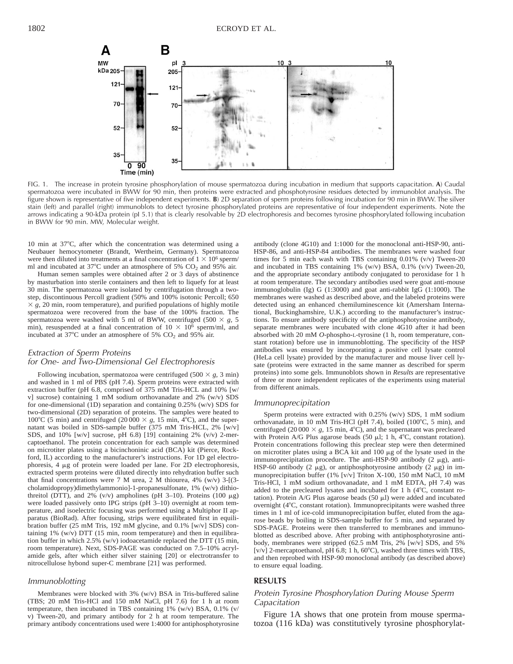

FIG. 1. The increase in protein tyrosine phosphorylation of mouse spermatozoa during incubation in medium that supports capacitation. **A**) Caudal spermatozoa were incubated in BWW for 90 min, then proteins were extracted and phosphotyrosine residues detected by immunoblot analysis. The figure shown is representative of five independent experiments. **B**) 2D separation of sperm proteins following incubation for 90 min in BWW. The silver stain (left) and parallel (right) immunoblots to detect tyrosine phosphorylated proteins are representative of four independent experiments. Note the arrows indicating a 90-kDa protein (pI 5.1) that is clearly resolvable by 2D electrophoresis and becomes tyrosine phosphorylated following incubation in BWW for 90 min. MW, Molecular weight.

10 min at  $37^{\circ}$ C, after which the concentration was determined using a Neubauer hemocytometer (Brandt, Wertheim, Germany). Spermatozoa were then diluted into treatments at a final concentration of  $1 \times 10^6$  sperm/ ml and incubated at  $37^{\circ}$ C under an atmosphere of 5% CO<sub>2</sub> and 95% air.

Human semen samples were obtained after 2 or 3 days of abstinence by masturbation into sterile containers and then left to liquefy for at least 30 min. The spermatozoa were isolated by centrifugation through a twostep, discontinuous Percoll gradient (50% and 100% isotonic Percoll; 650  $\times$  *g*, 20 min, room temperature), and purified populations of highly motile spermatozoa were recovered from the base of the 100% fraction. The spermatozoa were washed with 5 ml of BWW, centrifuged (500  $\times$  *g*, 5 min), resuspended at a final concentration of  $10 \times 10^6$  sperm/ml, and incubated at 37 $\degree$ C under an atmosphere of 5% CO<sub>2</sub> and 95% air.

### Extraction of Sperm Proteins for One- and Two-Dimensional Gel Electrophoresis

Following incubation, spermatozoa were centrifuged (500  $\times$  g, 3 min) and washed in 1 ml of PBS (pH 7.4). Sperm proteins were extracted with extraction buffer (pH 6.8, comprised of 375 mM Tris-HCL and 10% [w/ v] sucrose) containing 1 mM sodium orthovanadate and 2% (w/v) SDS for one-dimensional (1D) separation and containing 0.25% (w/v) SDS for two-dimensional (2D) separation of proteins. The samples were heated to 100°C (5 min) and centrifuged (20 000  $\times$  *g*, 15 min, 4°C), and the supernatant was boiled in SDS-sample buffer (375 mM Tris-HCL, 2% [w/v] SDS, and 10% [w/v] sucrose, pH 6.8) [19] containing 2% (v/v) 2-mercaptoethanol. The protein concentration for each sample was determined on microtiter plates using a bicinchoninic acid (BCA) kit (Pierce, Rockford, IL) according to the manufacturer's instructions. For 1D gel electrophoresis, 4 mg of protein were loaded per lane. For 2D electrophoresis, extracted sperm proteins were diluted directly into rehydration buffer such that final concentrations were 7 M urea, 2 M thiourea, 4% (w/v) 3-[(3cholamidopropy)dimethylammonio]-1-propanesulfonate, 1% (w/v) dithiothreitol (DTT), and 2% (v/v) ampholines (pH 3–10). Proteins (100  $\mu$ g) were loaded passively onto IPG strips (pH 3–10) overnight at room temperature, and isoelectric focusing was performed using a Multiphor II apparatus (BioRad). After focusing, strips were equilibrated first in equilibration buffer (25 mM Tris, 192 mM glycine, and 0.1% [w/v] SDS) containing  $1\%$  (w/v) DTT (15 min, room temperature) and then in equilibration buffer in which 2.5% (w/v) iodoacetamide replaced the DTT (15 min, room temperature). Next, SDS-PAGE was conducted on 7.5–10% acrylamide gels, after which either silver staining [20] or electrotransfer to nitrocellulose hybond super-C membrane [21] was performed.

#### Immunoblotting

Membranes were blocked with 3% (w/v) BSA in Tris-buffered saline (TBS; 20 mM Tris-HCl and 150 mM NaCl, pH 7.6) for 1 h at room temperature, then incubated in TBS containing 1% (w/v) BSA, 0.1% (v/ v) Tween-20, and primary antibody for 2 h at room temperature. The primary antibody concentrations used were 1:4000 for antiphosphotyrosine

antibody (clone 4G10) and 1:1000 for the monoclonal anti-HSP-90, anti-HSP-86, and anti-HSP-84 antibodies. The membranes were washed four times for 5 min each wash with TBS containing 0.01% (v/v) Tween-20 and incubated in TBS containing 1% (w/v) BSA, 0.1% (v/v) Tween-20, and the appropriate secondary antibody conjugated to peroxidase for 1 h at room temperature. The secondary antibodies used were goat anti-mouse immunoglobulin (Ig) G (1:3000) and goat anti-rabbit IgG (1:1000). The membranes were washed as described above, and the labeled proteins were detected using an enhanced chemiluminescence kit (Amersham International, Buckinghamshire, U.K.) according to the manufacturer's instructions. To ensure antibody specificity of the antiphosphotyrosine antibody, separate membranes were incubated with clone 4G10 after it had been absorbed with 20 mM *O*-phospho-L-tyrosine (1 h, room temperature, constant rotation) before use in immunoblotting. The specificity of the HSP antibodies was ensured by incorporating a positive cell lysate control (HeLa cell lysate) provided by the manufacturer and mouse liver cell lysate (proteins were extracted in the same manner as described for sperm proteins) into some gels. Immunoblots shown in *Results* are representative of three or more independent replicates of the experiments using material from different animals.

#### Immunoprecipitation

Sperm proteins were extracted with 0.25% (w/v) SDS, 1 mM sodium orthovanadate, in 10 mM Tris-HCl (pH 7.4), boiled (100 $^{\circ}$ C, 5 min), and centrifuged (20 000  $\times$  *g*, 15 min, 4°C), and the supernatant was precleared with Protein A/G Plus agarose beads (50  $\mu$ l; 1 h, 4°C, constant rotation). Protein concentrations following this preclear step were then determined on microtiter plates using a BCA kit and  $100 \mu$ g of the lysate used in the immunoprecipitation procedure. The anti-HSP-90 antibody  $(2 \mu g)$ , anti-HSP-60 antibody (2  $\mu$ g), or antiphosphotyrosine antibody (2  $\mu$ g) in immunoprecipitation buffer (1% [v/v] Triton X-100, 150 mM NaCl, 10 mM Tris-HCl, 1 mM sodium orthovanadate, and 1 mM EDTA, pH 7.4) was added to the precleared lysates and incubated for 1 h  $(4^{\circ}C,$  constant rotation). Protein A/G Plus agarose beads (50 ml) were added and incubated overnight (4°C, constant rotation). Immunoprecipitants were washed three times in 1 ml of ice-cold immunoprecipitation buffer, eluted from the agarose beads by boiling in SDS-sample buffer for 5 min, and separated by SDS-PAGE. Proteins were then transferred to membranes and immunoblotted as described above. After probing with antiphosphotyrosine antibody, membranes were stripped (62.5 mM Tris, 2% [w/v] SDS, and 5% [v/v] 2-mercaptoethanol, pH 6.8; 1 h,  $60^{\circ}$ C), washed three times with TBS, and then reprobed with HSP-90 monoclonal antibody (as described above) to ensure equal loading.

## **RESULTS**

## Protein Tyrosine Phosphorylation During Mouse Sperm Capacitation

Figure 1A shows that one protein from mouse spermatozoa (116 kDa) was constitutively tyrosine phosphorylat-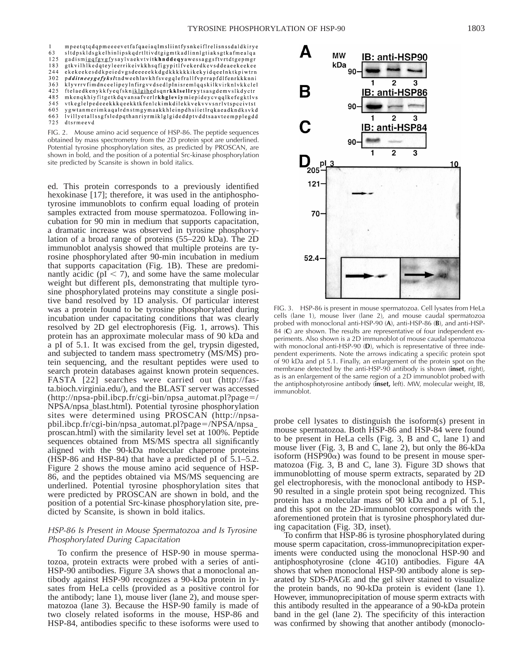mpeetqtqdqpmeeeevetfafqaeiaqlmsliintfysnkeiflrelisnssdaldkirye sltdpskidsgkelhinlipskqdrtltivdtgigmtkadlinnlgtiaksgtkafmealqa 63  $125$ gadismigqfgvgfysaylvaekvtvitkhnddeqyawessaggsftvrtdtgepmgr 183 gtkvilhlkedqteyleerrikeivkkhsqfigypitlfvekerdkevsddeaeekeekee 244 302 pdditneeygefyksltndweehlavkhfsvegqlefrallfvprrapfdlfenrkkknni klyvrrvfimdnceelipeylnfirgvvdsedlplnisremlqqskilkvirknlvkkclel 363 425 ftelaedkenykkfyeqfskniklgihedsqnrkklsellryytsasgdemvslkdyctr 485 mkenqkhiyfitgetkdqvansafverlrkhgleviymiepideycvqqlkefegktlvs 545 vtkeglelpedeeekkkqeekktkfenlckimkdilekkvekvvvsnrlvtspccivtst 605 ygwtanmerimkaqalrdnstmgymaakkhleinpdhsiietlrqkaeadkndksvkd 663 lvillyetallssgfsledpqthanriyrmiklglgideddptvddtsaavteempplegdd 725 dtsrmeevd

FIG. 2. Mouse amino acid sequence of HSP-86. The peptide sequences obtained by mass spectrometry from the 2D protein spot are underlined. Potential tyrosine phosphorylation sites, as predicted by PROSCAN, are shown in bold, and the position of a potential Src-kinase phosphorylation site predicted by Scansite is shown in bold italics.

ed. This protein corresponds to a previously identified hexokinase [17]; therefore, it was used in the antiphosphotyrosine immunoblots to confirm equal loading of protein samples extracted from mouse spermatozoa. Following incubation for 90 min in medium that supports capacitation, a dramatic increase was observed in tyrosine phosphorylation of a broad range of proteins (55–220 kDa). The 2D immunoblot analysis showed that multiple proteins are tyrosine phosphorylated after 90-min incubation in medium that supports capacitation (Fig. 1B). These are predominantly acidic ( $pI < 7$ ), and some have the same molecular weight but different pIs, demonstrating that multiple tyrosine phosphorylated proteins may constitute a single positive band resolved by 1D analysis. Of particular interest was a protein found to be tyrosine phosphorylated during incubation under capacitating conditions that was clearly resolved by 2D gel electrophoresis (Fig. 1, arrows). This protein has an approximate molecular mass of 90 kDa and a pI of 5.1. It was excised from the gel, trypsin digested, and subjected to tandem mass spectrometry (MS/MS) protein sequencing, and the resultant peptides were used to search protein databases against known protein sequences. FASTA [22] searches were carried out (http://fasta.bioch.virginia.edu/), and the BLAST server was accessed  $(\text{http://npsa-pbil.ibcp.fr/cgi-bin/npsa_automat.pl?page=7})$ NPSA/npsa blast.html). Potential tyrosine phosphorylation sites were determined using PROSCAN (http://npsapbil.ibcp.fr/cgi-bin/npsa\_automat.pl?page=/NPSA/npsa\_ proscan.html) with the similarity level set at 100%. Peptide sequences obtained from MS/MS spectra all significantly aligned with the 90-kDa molecular chaperone proteins (HSP-86 and HSP-84) that have a predicted pI of 5.1–5.2. Figure 2 shows the mouse amino acid sequence of HSP-86, and the peptides obtained via MS/MS sequencing are underlined. Potential tyrosine phosphorylation sites that were predicted by PROSCAN are shown in bold, and the position of a potential Src-kinase phosphorylation site, predicted by Scansite, is shown in bold italics.

### HSP-86 Is Present in Mouse Spermatozoa and Is Tyrosine Phosphorylated During Capacitation

To confirm the presence of HSP-90 in mouse spermatozoa, protein extracts were probed with a series of anti-HSP-90 antibodies. Figure 3A shows that a monoclonal antibody against HSP-90 recognizes a 90-kDa protein in lysates from HeLa cells (provided as a positive control for the antibody; lane 1), mouse liver (lane 2), and mouse spermatozoa (lane 3). Because the HSP-90 family is made of two closely related isoforms in the mouse, HSP-86 and HSP-84, antibodies specific to these isoforms were used to



FIG. 3. HSP-86 is present in mouse spermatozoa. Cell lysates from HeLa cells (lane 1), mouse liver (lane 2), and mouse caudal spermatozoa probed with monoclonal anti-HSP-90 (**A**), anti-HSP-86 (**B**), and anti-HSP-84 (**C**) are shown. The results are representative of four independent experiments. Also shown is a 2D immunoblot of mouse caudal spermatozoa with monoclonal anti-HSP-90 (**D**), which is representative of three independent experiments. Note the arrows indicating a specific protein spot of 90 kDa and pI 5.1. Finally, an enlargement of the protein spot on the membrane detected by the anti-HSP-90 antibody is shown (**inset**, right), as is an enlargement of the same region of a 2D immunoblot probed with the antiphosphotyrosine antibody (**inset,** left). MW, molecular weight, IB, immunoblot.

probe cell lysates to distinguish the isoform(s) present in mouse spermatozoa. Both HSP-86 and HSP-84 were found to be present in HeLa cells (Fig. 3, B and C, lane 1) and mouse liver (Fig. 3, B and C, lane 2), but only the 86-kDa isoform (HSP90 $\alpha$ ) was found to be present in mouse spermatozoa (Fig. 3, B and C, lane 3). Figure 3D shows that immunoblotting of mouse sperm extracts, separated by 2D gel electrophoresis, with the monoclonal antibody to HSP-90 resulted in a single protein spot being recognized. This protein has a molecular mass of 90 kDa and a pI of 5.1, and this spot on the 2D-immunoblot corresponds with the aforementioned protein that is tyrosine phosphorylated during capacitation (Fig. 3D, inset).

To confirm that HSP-86 is tyrosine phosphorylated during mouse sperm capacitation, cross-immunoprecipitation experiments were conducted using the monoclonal HSP-90 and antiphosphotyrosine (clone 4G10) antibodies. Figure 4A shows that when monoclonal HSP-90 antibody alone is separated by SDS-PAGE and the gel silver stained to visualize the protein bands, no 90-kDa protein is evident (lane 1). However, immunoprecipitation of mouse sperm extracts with this antibody resulted in the appearance of a 90-kDa protein band in the gel (lane 2). The specificity of this interaction was confirmed by showing that another antibody (monoclo-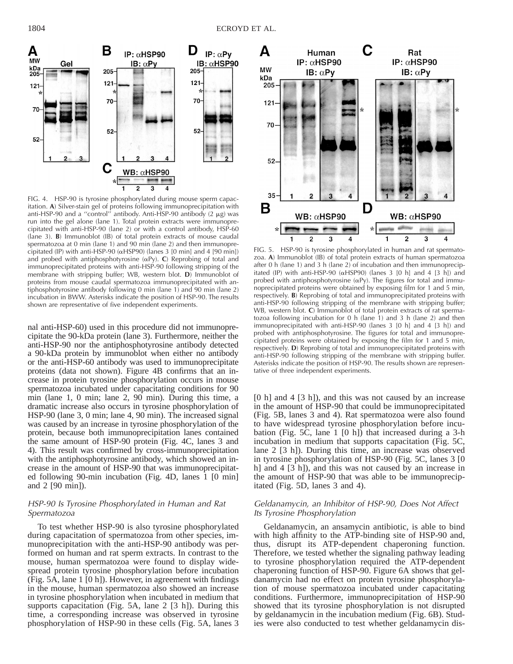

FIG. 4. HSP-90 is tyrosine phosphorylated during mouse sperm capacitation. **A**) Silver-stain gel of proteins following immunoprecipitation with anti-HSP-90 and a "control" antibody. Anti-HSP-90 antibody  $(2 \mu g)$  was run into the gel alone (lane 1). Total protein extracts were immunoprecipitated with anti-HSP-90 (lane 2) or with a control antibody, HSP-60 (lane 3). **B**) Immunoblot (IB) of total protein extracts of mouse caudal spermatozoa at 0 min (lane 1) and 90 min (lane 2) and then immunoprecipitated (IP) with anti-HSP-90 ( $\alpha$ HSP90) (lanes 3 [0 min] and 4 [90 min]) and probed with antiphosphotyrosine  $(\alpha P_y)$ . **C**) Reprobing of total and immunoprecipitated proteins with anti-HSP-90 following stripping of the membrane with stripping buffer; WB, western blot. **D**) Immunoblot of proteins from mouse caudal spermatozoa immunoprecipitated with antiphosphotyrosine antibody following 0 min (lane 1) and 90 min (lane 2) incubation in BWW. Asterisks indicate the position of HSP-90. The results shown are representative of five independent experiments.

nal anti-HSP-60) used in this procedure did not immunoprecipitate the 90-kDa protein (lane 3). Furthermore, neither the anti-HSP-90 nor the antiphosphotyrosine antibody detected a 90-kDa protein by immunoblot when either no antibody or the anti-HSP-60 antibody was used to immunoprecipitate proteins (data not shown). Figure 4B confirms that an increase in protein tyrosine phosphorylation occurs in mouse spermatozoa incubated under capacitating conditions for 90 min (lane 1, 0 min; lane 2, 90 min). During this time, a dramatic increase also occurs in tyrosine phosphorylation of HSP-90 (lane 3, 0 min; lane 4, 90 min). The increased signal was caused by an increase in tyrosine phosphorylation of the protein, because both immunoprecipitation lanes contained the same amount of HSP-90 protein (Fig. 4C, lanes 3 and 4). This result was confirmed by cross-immunoprecipitation with the antiphosphotyrosine antibody, which showed an increase in the amount of HSP-90 that was immunoprecipitated following 90-min incubation (Fig. 4D, lanes 1 [0 min] and 2 [90 min]).

# HSP-90 Is Tyrosine Phosphorylated in Human and Rat Spermatozoa

To test whether HSP-90 is also tyrosine phosphorylated during capacitation of spermatozoa from other species, immunoprecipitation with the anti-HSP-90 antibody was performed on human and rat sperm extracts. In contrast to the mouse, human spermatozoa were found to display widespread protein tyrosine phosphorylation before incubation (Fig. 5A, lane 1 [0 h]). However, in agreement with findings in the mouse, human spermatozoa also showed an increase in tyrosine phosphorylation when incubated in medium that supports capacitation (Fig. 5A, lane 2 [3 h]). During this time, a corresponding increase was observed in tyrosine phosphorylation of HSP-90 in these cells (Fig. 5A, lanes 3



FIG. 5. HSP-90 is tyrosine phosphorylated in human and rat spermatozoa. **A**) Immunoblot (IB) of total protein extracts of human spermatozoa after 0 h (lane 1) and 3 h (lane 2) of incubation and then immunoprecipitated (IP) with anti-HSP-90 ( $\alpha$ HSP90) (lanes 3 [0 h] and 4 [3 h]) and probed with antiphosphotyrosine  $(\alpha Py)$ . The figures for total and immunoprecipitated proteins were obtained by exposing film for 1 and 5 min, respectively. **B**) Reprobing of total and immunoprecipitated proteins with anti-HSP-90 following stripping of the membrane with stripping buffer; WB, western blot. **C**) Immunoblot of total protein extracts of rat spermatozoa following incubation for 0 h (lane 1) and 3 h (lane 2) and then immunoprecipitated with anti-HSP-90 (lanes 3 [0 h] and 4 [3 h]) and probed with antiphosphotyrosine. The figures for total and immunoprecipitated proteins were obtained by exposing the film for 1 and 5 min, respectively. **D**) Reprobing of total and immunoprecipitated proteins with anti-HSP-90 following stripping of the membrane with stripping buffer. Asterisks indicate the position of HSP-90. The results shown are representative of three independent experiments.

[0 h] and 4 [3 h]), and this was not caused by an increase in the amount of HSP-90 that could be immunoprecipitated (Fig. 5B, lanes 3 and 4). Rat spermatozoa were also found to have widespread tyrosine phosphorylation before incubation (Fig. 5C, lane 1 [0 h]) that increased during a 3-h incubation in medium that supports capacitation (Fig. 5C, lane 2 [3 h]). During this time, an increase was observed in tyrosine phosphorylation of HSP-90 (Fig. 5C, lanes 3 [0 h] and 4 [3 h]), and this was not caused by an increase in the amount of HSP-90 that was able to be immunoprecipitated (Fig. 5D, lanes 3 and 4).

## Geldanamycin, an Inhibitor of HSP-90, Does Not Affect Its Tyrosine Phosphorylation

Geldanamycin, an ansamycin antibiotic, is able to bind with high affinity to the ATP-binding site of HSP-90 and, thus, disrupt its ATP-dependent chaperoning function. Therefore, we tested whether the signaling pathway leading to tyrosine phosphorylation required the ATP-dependent chaperoning function of HSP-90. Figure 6A shows that geldanamycin had no effect on protein tyrosine phosphorylation of mouse spermatozoa incubated under capacitating conditions. Furthermore, immunoprecipitation of HSP-90 showed that its tyrosine phosphorylation is not disrupted by geldanamycin in the incubation medium (Fig. 6B). Studies were also conducted to test whether geldanamycin dis-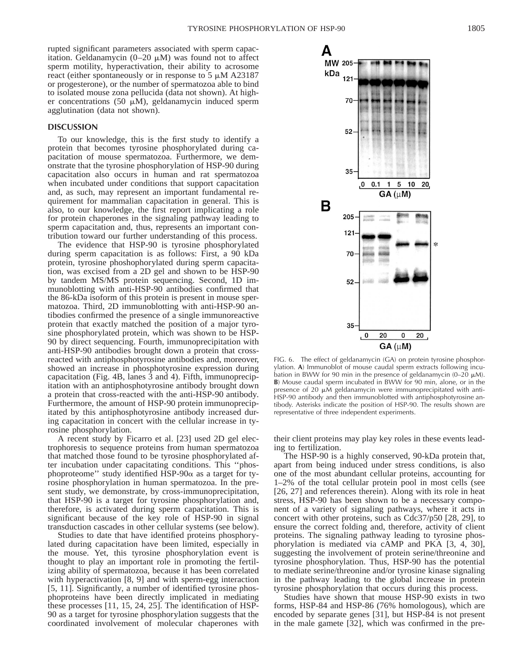rupted significant parameters associated with sperm capacitation. Geldanamycin  $(0-20 \mu M)$  was found not to affect sperm motility, hyperactivation, their ability to acrosome react (either spontaneously or in response to  $5 \mu M$  A23187 or progesterone), or the number of spermatozoa able to bind to isolated mouse zona pellucida (data not shown). At higher concentrations (50  $\mu$ M), geldanamycin induced sperm agglutination (data not shown).

#### **DISCUSSION**

To our knowledge, this is the first study to identify a protein that becomes tyrosine phosphorylated during capacitation of mouse spermatozoa. Furthermore, we demonstrate that the tyrosine phosphorylation of HSP-90 during capacitation also occurs in human and rat spermatozoa when incubated under conditions that support capacitation and, as such, may represent an important fundamental requirement for mammalian capacitation in general. This is also, to our knowledge, the first report implicating a role for protein chaperones in the signaling pathway leading to sperm capacitation and, thus, represents an important contribution toward our further understanding of this process.

The evidence that HSP-90 is tyrosine phosphorylated during sperm capacitation is as follows: First, a 90 kDa protein, tyrosine phoshophorylated during sperm capacitation, was excised from a 2D gel and shown to be HSP-90 by tandem MS/MS protein sequencing. Second, 1D immunoblotting with anti-HSP-90 antibodies confirmed that the 86-kDa isoform of this protein is present in mouse spermatozoa. Third, 2D immunoblotting with anti-HSP-90 antibodies confirmed the presence of a single immunoreactive protein that exactly matched the position of a major tyrosine phosphorylated protein, which was shown to be HSP-90 by direct sequencing. Fourth, immunoprecipitation with anti-HSP-90 antibodies brought down a protein that crossreacted with antiphosphotyrosine antibodies and, moreover, showed an increase in phosphotyrosine expression during capacitation (Fig. 4B, lanes 3 and 4). Fifth, immunoprecipitation with an antiphosphotyrosine antibody brought down a protein that cross-reacted with the anti-HSP-90 antibody. Furthermore, the amount of HSP-90 protein immunoprecipitated by this antiphosphotyrosine antibody increased during capacitation in concert with the cellular increase in tyrosine phosphorylation.

A recent study by Ficarro et al. [23] used 2D gel electrophoresis to sequence proteins from human spermatozoa that matched those found to be tyrosine phosphorylated after incubation under capacitating conditions. This ''phosphoproteome'' study identified HSP-90 $\alpha$  as a target for tyrosine phosphorylation in human spermatozoa. In the present study, we demonstrate, by cross-immunoprecipitation, that HSP-90 is a target for tyrosine phosphorylation and, therefore, is activated during sperm capacitation. This is significant because of the key role of HSP-90 in signal transduction cascades in other cellular systems (see below).

Studies to date that have identified proteins phosphorylated during capacitation have been limited, especially in the mouse. Yet, this tyrosine phosphorylation event is thought to play an important role in promoting the fertilizing ability of spermatozoa, because it has been correlated with hyperactivation [8, 9] and with sperm-egg interaction [5, 11]. Significantly, a number of identified tyrosine phosphoproteins have been directly implicated in mediating these processes [11, 15, 24, 25]. The identification of HSP-90 as a target for tyrosine phosphorylation suggests that the coordinated involvement of molecular chaperones with



FIG. 6. The effect of geldanamycin (GA) on protein tyrosine phosphorylation. **A**) Immunoblot of mouse caudal sperm extracts following incubation in BWW for 90 min in the presence of geldanamycin (0–20  $\mu$ M). **B**) Mouse caudal sperm incubated in BWW for 90 min, alone, or in the presence of 20  $\mu$ M geldanamycin were immunoprecipitated with anti-HSP-90 antibody and then immunoblotted with antiphosphotyrosine antibody. Asterisks indicate the position of HSP-90. The results shown are representative of three independent experiments.

their client proteins may play key roles in these events leading to fertilization.

The HSP-90 is a highly conserved, 90-kDa protein that, apart from being induced under stress conditions, is also one of the most abundant cellular proteins, accounting for 1–2% of the total cellular protein pool in most cells (see [26, 27] and references therein). Along with its role in heat stress, HSP-90 has been shown to be a necessary component of a variety of signaling pathways, where it acts in concert with other proteins, such as Cdc37/p50 [28, 29], to ensure the correct folding and, therefore, activity of client proteins. The signaling pathway leading to tyrosine phosphorylation is mediated via cAMP and PKA [3, 4, 30], suggesting the involvement of protein serine/threonine and tyrosine phosphorylation. Thus, HSP-90 has the potential to mediate serine/threonine and/or tyrosine kinase signaling in the pathway leading to the global increase in protein tyrosine phosphorylation that occurs during this process.

Studies have shown that mouse HSP-90 exists in two forms, HSP-84 and HSP-86 (76% homologous), which are encoded by separate genes [31], but HSP-84 is not present in the male gamete [32], which was confirmed in the pre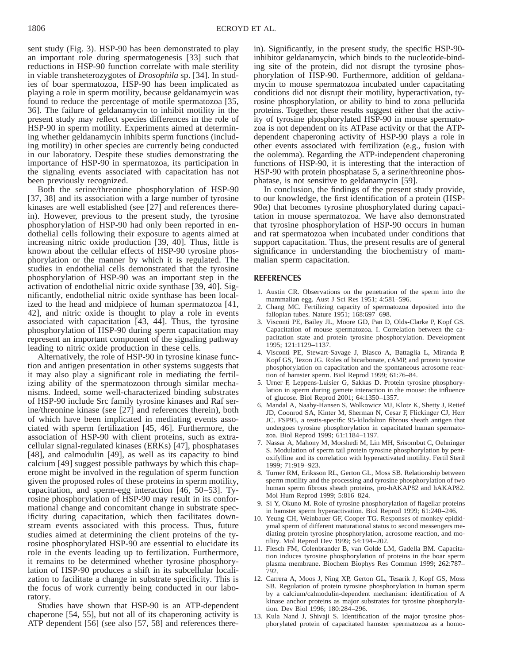sent study (Fig. 3). HSP-90 has been demonstrated to play an important role during spermatogenesis [33] such that reductions in HSP-90 function correlate with male sterility in viable transheterozygotes of *Drosophila* sp. [34]. In studies of boar spermatozoa, HSP-90 has been implicated as playing a role in sperm motility, because geldanamycin was found to reduce the percentage of motile spermatozoa [35, 36]. The failure of geldanamycin to inhibit motility in the present study may reflect species differences in the role of HSP-90 in sperm motility. Experiments aimed at determining whether geldanamycin inhibits sperm functions (including motility) in other species are currently being conducted in our laboratory. Despite these studies demonstrating the importance of HSP-90 in spermatozoa, its participation in the signaling events associated with capacitation has not been previously recognized.

Both the serine/threonine phosphorylation of HSP-90 [37, 38] and its association with a large number of tyrosine kinases are well established (see [27] and references therein). However, previous to the present study, the tyrosine phosphorylation of HSP-90 had only been reported in endothelial cells following their exposure to agents aimed at increasing nitric oxide production [39, 40]. Thus, little is known about the cellular effects of HSP-90 tyrosine phosphorylation or the manner by which it is regulated. The studies in endothelial cells demonstrated that the tyrosine phosphorylation of HSP-90 was an important step in the activation of endothelial nitric oxide synthase [39, 40]. Significantly, endothelial nitric oxide synthase has been localized to the head and midpiece of human spermatozoa [41, 42], and nitric oxide is thought to play a role in events associated with capacitation [43, 44]. Thus, the tyrosine phosphorylation of HSP-90 during sperm capacitation may represent an important component of the signaling pathway leading to nitric oxide production in these cells.

Alternatively, the role of HSP-90 in tyrosine kinase function and antigen presentation in other systems suggests that it may also play a significant role in mediating the fertilizing ability of the spermatozoon through similar mechanisms. Indeed, some well-characterized binding substrates of HSP-90 include Src family tyrosine kinases and Raf serine/threonine kinase (see [27] and references therein), both of which have been implicated in mediating events associated with sperm fertilization [45, 46]. Furthermore, the association of HSP-90 with client proteins, such as extracellular signal-regulated kinases (ERKs) [47], phosphatases [48], and calmodulin [49], as well as its capacity to bind calcium [49] suggest possible pathways by which this chaperone might be involved in the regulation of sperm function given the proposed roles of these proteins in sperm motility, capacitation, and sperm-egg interaction [46, 50–53]. Tyrosine phosphorylation of HSP-90 may result in its conformational change and concomitant change in substrate specificity during capacitation, which then facilitates downstream events associated with this process. Thus, future studies aimed at determining the client proteins of the tyrosine phosphorylated HSP-90 are essential to elucidate its role in the events leading up to fertilization. Furthermore, it remains to be determined whether tyrosine phosphorylation of HSP-90 produces a shift in its subcellular localization to facilitate a change in substrate specificity. This is the focus of work currently being conducted in our laboratory.

Studies have shown that HSP-90 is an ATP-dependent chaperone [54, 55], but not all of its chaperoning activity is ATP dependent [56] (see also [57, 58] and references therein). Significantly, in the present study, the specific HSP-90 inhibitor geldanamycin, which binds to the nucleotide-binding site of the protein, did not disrupt the tyrosine phosphorylation of HSP-90. Furthermore, addition of geldanamycin to mouse spermatozoa incubated under capacitating conditions did not disrupt their motility, hyperactivation, tyrosine phosphorylation, or ability to bind to zona pellucida proteins. Together, these results suggest either that the activity of tyrosine phosphorylated HSP-90 in mouse spermatozoa is not dependent on its ATPase activity or that the ATPdependent chaperoning activity of HSP-90 plays a role in other events associated with fertilization (e.g., fusion with the oolemma). Regarding the ATP-independent chaperoning functions of HSP-90, it is interesting that the interaction of HSP-90 with protein phosphatase 5, a serine/threonine phosphatase, is not sensitive to geldanamycin [59].

In conclusion, the findings of the present study provide, to our knowledge, the first identification of a protein (HSP- $90\alpha$ ) that becomes tyrosine phosphorylated during capacitation in mouse spermatozoa. We have also demonstrated that tyrosine phosphorylation of HSP-90 occurs in human and rat spermatozoa when incubated under conditions that support capacitation. Thus, the present results are of general significance in understanding the biochemistry of mammalian sperm capacitation.

### **REFERENCES**

- 1. Austin CR. Observations on the penetration of the sperm into the mammalian egg. Aust J Sci Res 1951; 4:581–596.
- 2. Chang MC. Fertilizing capacity of spermatozoa deposited into the fallopian tubes. Nature 1951; 168:697–698.
- 3. Visconti PE, Bailey JL, Moore GD, Pan D, Olds-Clarke P, Kopf GS. Capacitation of mouse spermatozoa. I. Correlation between the capacitation state and protein tyrosine phosphorylation. Development 1995; 121:1129–1137.
- 4. Visconti PE, Stewart-Savage J, Blasco A, Battaglia L, Miranda P, Kopf GS, Tezon JG. Roles of bicarbonate, cAMP, and protein tyrosine phosphorylation on capacitation and the spontaneous acrosome reaction of hamster sperm. Biol Reprod 1999; 61:76–84.
- 5. Urner F, Leppens-Luisier G, Sakkas D. Protein tyrosine phosphorylation in sperm during gamete interaction in the mouse: the influence of glucose. Biol Reprod 2001; 64:1350–1357.
- 6. Mandal A, Naaby-Hansen S, Wolkowicz MJ, Klotz K, Shetty J, Retief JD, Coonrod SA, Kinter M, Sherman N, Cesar F, Flickinger CJ, Herr JC. FSP95, a testis-specific 95-kilodalton fibrous sheath antigen that undergoes tyrosine phosphorylation in capacitated human spermatozoa. Biol Reprod 1999; 61:1184–1197.
- 7. Nassar A, Mahony M, Morshedi M, Lin MH, Srisombut C, Oehninger S. Modulation of sperm tail protein tyrosine phosphorylation by pentoxifylline and its correlation with hyperactivated motility. Fertil Steril 1999; 71:919–923.
- 8. Turner RM, Eriksson RL, Gerton GL, Moss SB. Relationship between sperm motility and the processing and tyrosine phosphorylation of two human sperm fibrous sheath proteins, pro-hAKAP82 and hAKAP82. Mol Hum Reprod 1999; 5:816–824.
- 9. Si Y, Okuno M. Role of tyrosine phosphorylation of flagellar proteins in hamster sperm hyperactivation. Biol Reprod 1999; 61:240–246.
- 10. Yeung CH, Weinbauer GF, Cooper TG. Responses of monkey epididymal sperm of different maturational status to second messengers mediating protein tyrosine phosphorylation, acrosome reaction, and motility. Mol Reprod Dev 1999; 54:194–202.
- 11. Flesch FM, Colenbrander B, van Golde LM, Gadella BM. Capacitation induces tyrosine phosphorylation of proteins in the boar sperm plasma membrane. Biochem Biophys Res Commun 1999; 262:787– 792.
- 12. Carrera A, Moos J, Ning XP, Gerton GL, Tesarik J, Kopf GS, Moss SB. Regulation of protein tyrosine phosphorylation in human sperm by a calcium/calmodulin-dependent mechanism: identification of A kinase anchor proteins as major substrates for tyrosine phosphorylation. Dev Biol 1996; 180:284–296.
- 13. Kula Nand J, Shivaji S. Identification of the major tyrosine phosphorylated protein of capacitated hamster spermatozoa as a homo-